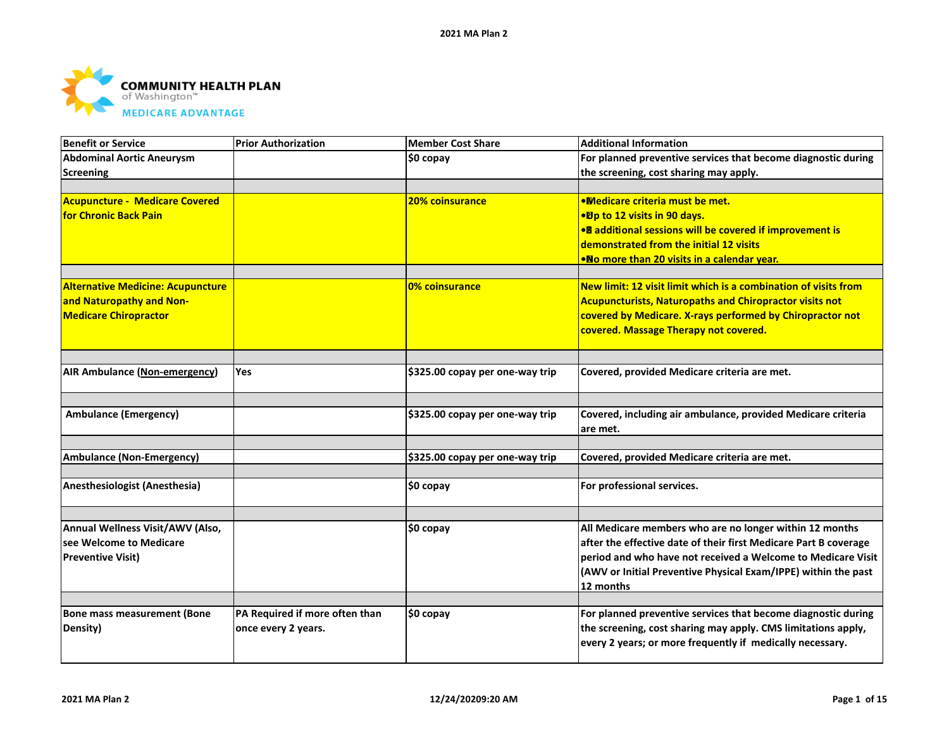

| <b>Benefit or Service</b>                | <b>Prior Authorization</b>     | <b>Member Cost Share</b>        | <b>Additional Information</b>                                             |
|------------------------------------------|--------------------------------|---------------------------------|---------------------------------------------------------------------------|
| <b>Abdominal Aortic Aneurysm</b>         |                                | \$0 copay                       | For planned preventive services that become diagnostic during             |
| <b>Screening</b>                         |                                |                                 | the screening, cost sharing may apply.                                    |
| <b>Acupuncture - Medicare Covered</b>    |                                | 20% coinsurance                 | <b>.Medicare criteria must be met.</b>                                    |
| <b>for Chronic Back Pain</b>             |                                |                                 | •Dp to 12 visits in 90 days.                                              |
|                                          |                                |                                 | • additional sessions will be covered if improvement is                   |
|                                          |                                |                                 | demonstrated from the initial 12 visits                                   |
|                                          |                                |                                 | •No more than 20 visits in a calendar year.                               |
| <b>Alternative Medicine: Acupuncture</b> |                                | 0% coinsurance                  | New limit: 12 visit limit which is a combination of visits from           |
| and Naturopathy and Non-                 |                                |                                 | <b>Acupuncturists, Naturopaths and Chiropractor visits not</b>            |
| <b>Medicare Chiropractor</b>             |                                |                                 | covered by Medicare. X-rays performed by Chiropractor not                 |
|                                          |                                |                                 | covered. Massage Therapy not covered.                                     |
|                                          |                                |                                 |                                                                           |
| AIR Ambulance (Non-emergency)            | Yes                            | \$325.00 copay per one-way trip | Covered, provided Medicare criteria are met.                              |
|                                          |                                |                                 |                                                                           |
| <b>Ambulance (Emergency)</b>             |                                | \$325.00 copay per one-way trip | Covered, including air ambulance, provided Medicare criteria<br>lare met. |
|                                          |                                |                                 |                                                                           |
| <b>Ambulance (Non-Emergency)</b>         |                                | \$325.00 copay per one-way trip | Covered, provided Medicare criteria are met.                              |
|                                          |                                |                                 |                                                                           |
| Anesthesiologist (Anesthesia)            |                                | \$0 copay                       | For professional services.                                                |
|                                          |                                |                                 |                                                                           |
| Annual Wellness Visit/AWV (Also,         |                                | $$0$ copay                      | All Medicare members who are no longer within 12 months                   |
| see Welcome to Medicare                  |                                |                                 | after the effective date of their first Medicare Part B coverage          |
| <b>Preventive Visit)</b>                 |                                |                                 | period and who have not received a Welcome to Medicare Visit              |
|                                          |                                |                                 | (AWV or Initial Preventive Physical Exam/IPPE) within the past            |
|                                          |                                |                                 | 12 months                                                                 |
| <b>Bone mass measurement (Bone</b>       | PA Required if more often than | \$0 copay                       | For planned preventive services that become diagnostic during             |
| Density)                                 | once every 2 years.            |                                 | the screening, cost sharing may apply. CMS limitations apply,             |
|                                          |                                |                                 | every 2 years; or more frequently if medically necessary.                 |
|                                          |                                |                                 |                                                                           |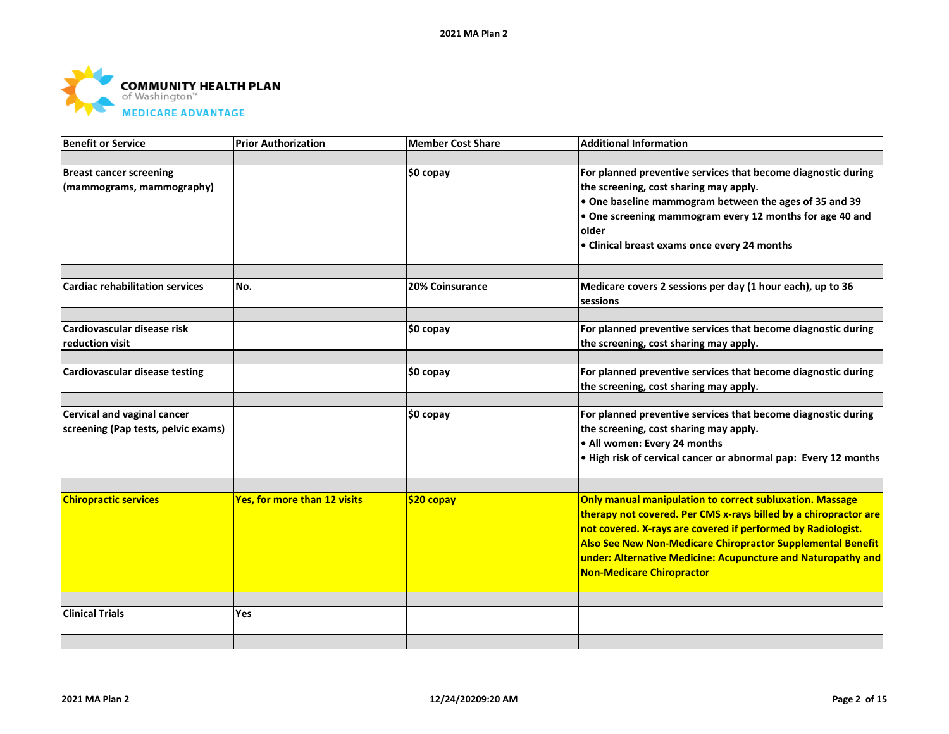

| <b>Benefit or Service</b>              | <b>Prior Authorization</b>          | <b>Member Cost Share</b> | <b>Additional Information</b>                                    |
|----------------------------------------|-------------------------------------|--------------------------|------------------------------------------------------------------|
|                                        |                                     |                          |                                                                  |
| <b>Breast cancer screening</b>         |                                     | $$0$ copay               | For planned preventive services that become diagnostic during    |
| (mammograms, mammography)              |                                     |                          | the screening, cost sharing may apply.                           |
|                                        |                                     |                          | $\bullet$ One baseline mammogram between the ages of 35 and 39   |
|                                        |                                     |                          | $\bullet$ One screening mammogram every 12 months for age 40 and |
|                                        |                                     |                          | older                                                            |
|                                        |                                     |                          | • Clinical breast exams once every 24 months                     |
|                                        |                                     |                          |                                                                  |
| <b>Cardiac rehabilitation services</b> | No.                                 | 20% Coinsurance          | Medicare covers 2 sessions per day (1 hour each), up to 36       |
|                                        |                                     |                          | <b>sessions</b>                                                  |
| Cardiovascular disease risk            |                                     |                          | For planned preventive services that become diagnostic during    |
| reduction visit                        |                                     | \$0 copay                | the screening, cost sharing may apply.                           |
|                                        |                                     |                          |                                                                  |
| <b>Cardiovascular disease testing</b>  |                                     | \$0 copay                | For planned preventive services that become diagnostic during    |
|                                        |                                     |                          | the screening, cost sharing may apply.                           |
|                                        |                                     |                          |                                                                  |
| <b>Cervical and vaginal cancer</b>     |                                     | \$0 copay                | For planned preventive services that become diagnostic during    |
| screening (Pap tests, pelvic exams)    |                                     |                          | the screening, cost sharing may apply.                           |
|                                        |                                     |                          | . All women: Every 24 months                                     |
|                                        |                                     |                          | . High risk of cervical cancer or abnormal pap: Every 12 months  |
|                                        |                                     |                          |                                                                  |
| <b>Chiropractic services</b>           | <b>Yes, for more than 12 visits</b> | \$20 copay               | Only manual manipulation to correct subluxation. Massage         |
|                                        |                                     |                          | therapy not covered. Per CMS x-rays billed by a chiropractor are |
|                                        |                                     |                          | not covered. X-rays are covered if performed by Radiologist.     |
|                                        |                                     |                          | Also See New Non-Medicare Chiropractor Supplemental Benefit      |
|                                        |                                     |                          | under: Alternative Medicine: Acupuncture and Naturopathy and     |
|                                        |                                     |                          | Non-Medicare Chiropractor                                        |
|                                        |                                     |                          |                                                                  |
| <b>Clinical Trials</b>                 | Yes                                 |                          |                                                                  |
|                                        |                                     |                          |                                                                  |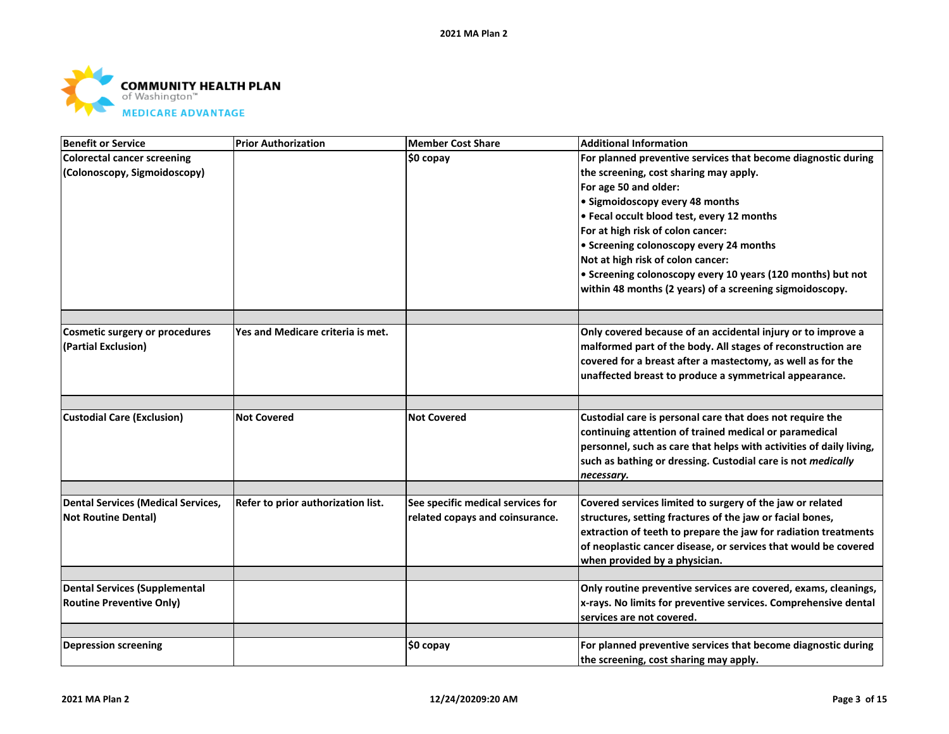

| <b>Benefit or Service</b>             | <b>Prior Authorization</b>         | <b>Member Cost Share</b>          | <b>Additional Information</b>                                       |
|---------------------------------------|------------------------------------|-----------------------------------|---------------------------------------------------------------------|
| <b>Colorectal cancer screening</b>    |                                    | $$0$ copay                        | For planned preventive services that become diagnostic during       |
| (Colonoscopy, Sigmoidoscopy)          |                                    |                                   | the screening, cost sharing may apply.                              |
|                                       |                                    |                                   | For age 50 and older:                                               |
|                                       |                                    |                                   | · Sigmoidoscopy every 48 months                                     |
|                                       |                                    |                                   | • Fecal occult blood test, every 12 months                          |
|                                       |                                    |                                   | For at high risk of colon cancer:                                   |
|                                       |                                    |                                   | • Screening colonoscopy every 24 months                             |
|                                       |                                    |                                   | Not at high risk of colon cancer:                                   |
|                                       |                                    |                                   | • Screening colonoscopy every 10 years (120 months) but not         |
|                                       |                                    |                                   | within 48 months (2 years) of a screening sigmoidoscopy.            |
|                                       |                                    |                                   |                                                                     |
| <b>Cosmetic surgery or procedures</b> | Yes and Medicare criteria is met.  |                                   | Only covered because of an accidental injury or to improve a        |
| (Partial Exclusion)                   |                                    |                                   | malformed part of the body. All stages of reconstruction are        |
|                                       |                                    |                                   | covered for a breast after a mastectomy, as well as for the         |
|                                       |                                    |                                   | unaffected breast to produce a symmetrical appearance.              |
|                                       |                                    |                                   |                                                                     |
| <b>Custodial Care (Exclusion)</b>     | <b>Not Covered</b>                 | <b>Not Covered</b>                | Custodial care is personal care that does not require the           |
|                                       |                                    |                                   | continuing attention of trained medical or paramedical              |
|                                       |                                    |                                   | personnel, such as care that helps with activities of daily living, |
|                                       |                                    |                                   | such as bathing or dressing. Custodial care is not <i>medically</i> |
|                                       |                                    |                                   | necessary.                                                          |
| Dental Services (Medical Services,    | Refer to prior authorization list. | See specific medical services for | Covered services limited to surgery of the jaw or related           |
| <b>Not Routine Dental)</b>            |                                    | related copays and coinsurance.   | structures, setting fractures of the jaw or facial bones,           |
|                                       |                                    |                                   | extraction of teeth to prepare the jaw for radiation treatments     |
|                                       |                                    |                                   | of neoplastic cancer disease, or services that would be covered     |
|                                       |                                    |                                   | when provided by a physician.                                       |
|                                       |                                    |                                   |                                                                     |
| Dental Services (Supplemental         |                                    |                                   | Only routine preventive services are covered, exams, cleanings,     |
| <b>Routine Preventive Only)</b>       |                                    |                                   | x-rays. No limits for preventive services. Comprehensive dental     |
|                                       |                                    |                                   | services are not covered.                                           |
|                                       |                                    |                                   |                                                                     |
| <b>Depression screening</b>           |                                    | $$0$ copay                        | For planned preventive services that become diagnostic during       |
|                                       |                                    |                                   | the screening, cost sharing may apply.                              |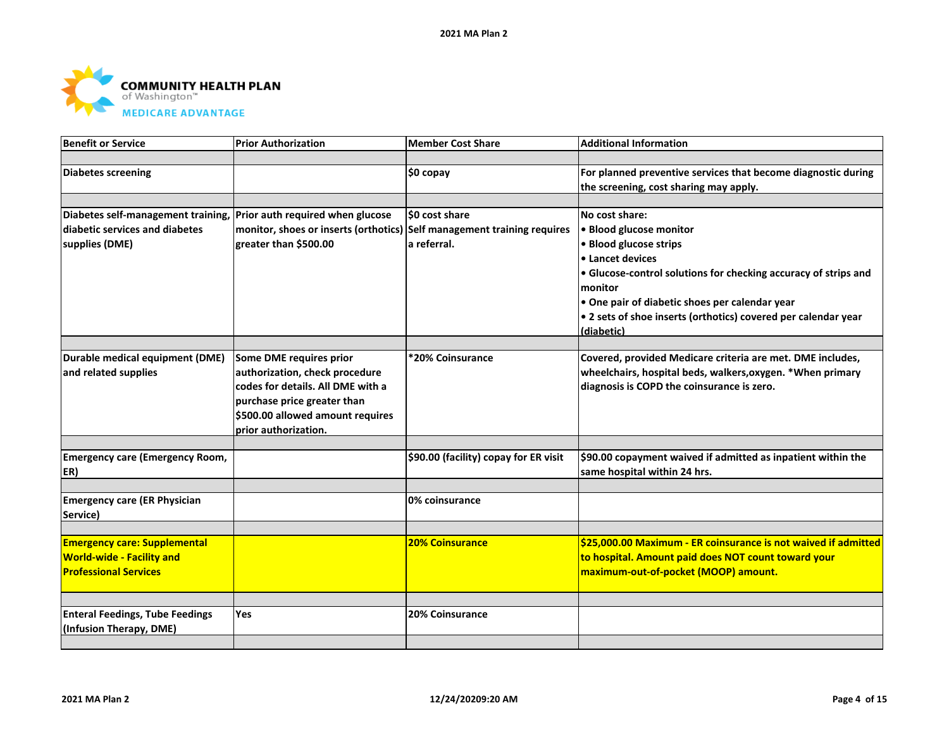

| <b>Benefit or Service</b>              | <b>Prior Authorization</b>                                              | <b>Member Cost Share</b>              | <b>Additional Information</b>                                   |
|----------------------------------------|-------------------------------------------------------------------------|---------------------------------------|-----------------------------------------------------------------|
|                                        |                                                                         |                                       |                                                                 |
| <b>Diabetes screening</b>              |                                                                         | \$0 copay                             | For planned preventive services that become diagnostic during   |
|                                        |                                                                         |                                       | the screening, cost sharing may apply.                          |
|                                        |                                                                         |                                       |                                                                 |
| Diabetes self-management training,     | Prior auth required when glucose                                        | \$0 cost share                        | No cost share:                                                  |
| diabetic services and diabetes         | monitor, shoes or inserts (orthotics) Self management training requires |                                       | · Blood glucose monitor                                         |
| supplies (DME)                         | greater than \$500.00                                                   | a referral.                           | · Blood glucose strips                                          |
|                                        |                                                                         |                                       | • Lancet devices                                                |
|                                        |                                                                         |                                       | • Glucose-control solutions for checking accuracy of strips and |
|                                        |                                                                         |                                       | monitor                                                         |
|                                        |                                                                         |                                       | • One pair of diabetic shoes per calendar year                  |
|                                        |                                                                         |                                       | • 2 sets of shoe inserts (orthotics) covered per calendar year  |
|                                        |                                                                         |                                       | (diabetic)                                                      |
|                                        |                                                                         |                                       |                                                                 |
| Durable medical equipment (DME)        | Some DME requires prior                                                 | *20% Coinsurance                      | Covered, provided Medicare criteria are met. DME includes,      |
| and related supplies                   | authorization, check procedure                                          |                                       | wheelchairs, hospital beds, walkers, oxygen. * When primary     |
|                                        | codes for details. All DME with a                                       |                                       | diagnosis is COPD the coinsurance is zero.                      |
|                                        | purchase price greater than                                             |                                       |                                                                 |
|                                        | \$500.00 allowed amount requires                                        |                                       |                                                                 |
|                                        | prior authorization.                                                    |                                       |                                                                 |
|                                        |                                                                         |                                       |                                                                 |
| <b>Emergency care (Emergency Room,</b> |                                                                         | \$90.00 (facility) copay for ER visit | \$90.00 copayment waived if admitted as inpatient within the    |
| ER)                                    |                                                                         |                                       | same hospital within 24 hrs.                                    |
| <b>Emergency care (ER Physician</b>    |                                                                         | 0% coinsurance                        |                                                                 |
| Service)                               |                                                                         |                                       |                                                                 |
|                                        |                                                                         |                                       |                                                                 |
| <b>Emergency care: Supplemental</b>    |                                                                         | <b>20% Coinsurance</b>                | \$25,000.00 Maximum - ER coinsurance is not waived if admitted  |
| <b>World-wide - Facility and</b>       |                                                                         |                                       | to hospital. Amount paid does NOT count toward your             |
| <b>Professional Services</b>           |                                                                         |                                       | maximum-out-of-pocket (MOOP) amount.                            |
|                                        |                                                                         |                                       |                                                                 |
|                                        |                                                                         |                                       |                                                                 |
| <b>Enteral Feedings, Tube Feedings</b> | Yes                                                                     | 20% Coinsurance                       |                                                                 |
| (Infusion Therapy, DME)                |                                                                         |                                       |                                                                 |
|                                        |                                                                         |                                       |                                                                 |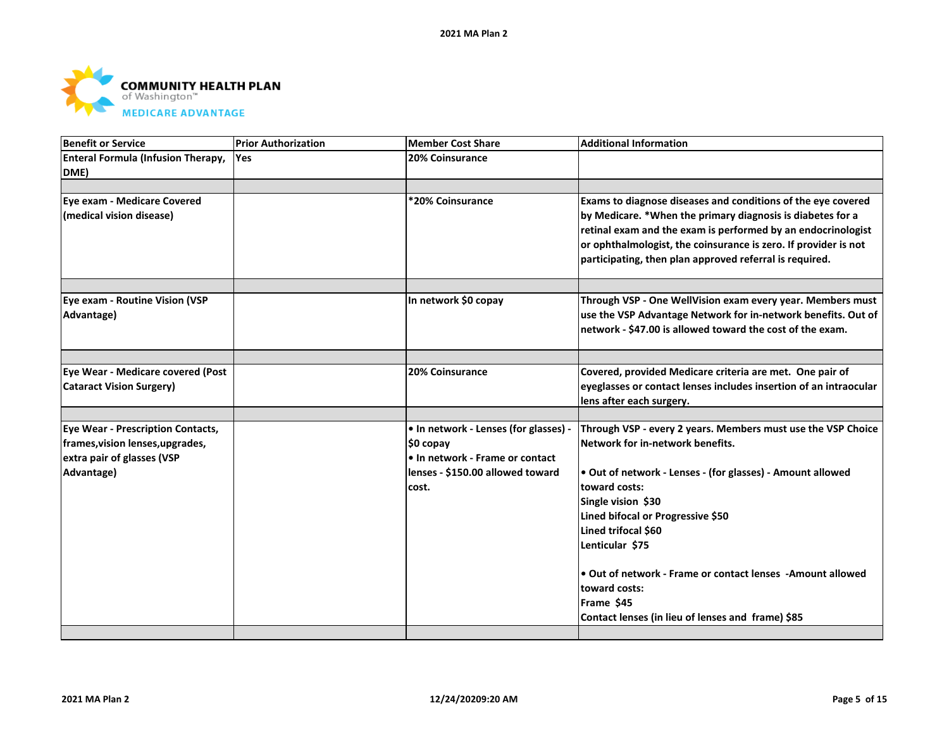

| <b>Benefit or Service</b>                                            | <b>Prior Authorization</b> | <b>Member Cost Share</b>              | <b>Additional Information</b>                                                                                                                                                                                                                                                                                            |
|----------------------------------------------------------------------|----------------------------|---------------------------------------|--------------------------------------------------------------------------------------------------------------------------------------------------------------------------------------------------------------------------------------------------------------------------------------------------------------------------|
| <b>Enteral Formula (Infusion Therapy,</b><br>DME)                    | lYes.                      | <b>20% Coinsurance</b>                |                                                                                                                                                                                                                                                                                                                          |
|                                                                      |                            |                                       |                                                                                                                                                                                                                                                                                                                          |
| Eye exam - Medicare Covered<br>(medical vision disease)              |                            | *20% Coinsurance                      | Exams to diagnose diseases and conditions of the eye covered<br>by Medicare. *When the primary diagnosis is diabetes for a<br>retinal exam and the exam is performed by an endocrinologist<br>or ophthalmologist, the coinsurance is zero. If provider is not<br>participating, then plan approved referral is required. |
| Eye exam - Routine Vision (VSP                                       |                            | In network \$0 copay                  | Through VSP - One WellVision exam every year. Members must                                                                                                                                                                                                                                                               |
| Advantage)                                                           |                            |                                       | use the VSP Advantage Network for in-network benefits. Out of<br>network - \$47.00 is allowed toward the cost of the exam.                                                                                                                                                                                               |
|                                                                      |                            |                                       |                                                                                                                                                                                                                                                                                                                          |
| Eye Wear - Medicare covered (Post<br><b>Cataract Vision Surgery)</b> |                            | 20% Coinsurance                       | Covered, provided Medicare criteria are met. One pair of<br>eyeglasses or contact lenses includes insertion of an intraocular                                                                                                                                                                                            |
|                                                                      |                            |                                       | lens after each surgery.                                                                                                                                                                                                                                                                                                 |
|                                                                      |                            |                                       |                                                                                                                                                                                                                                                                                                                          |
| <b>Eye Wear - Prescription Contacts,</b>                             |                            | • In network - Lenses (for glasses) - | Through VSP - every 2 years. Members must use the VSP Choice                                                                                                                                                                                                                                                             |
| frames, vision lenses, upgrades,                                     |                            | $$0$ copay                            | Network for in-network benefits.                                                                                                                                                                                                                                                                                         |
| extra pair of glasses (VSP                                           |                            | • In network - Frame or contact       |                                                                                                                                                                                                                                                                                                                          |
| Advantage)                                                           |                            | lenses - \$150.00 allowed toward      | • Out of network - Lenses - (for glasses) - Amount allowed                                                                                                                                                                                                                                                               |
|                                                                      |                            | cost.                                 | toward costs:                                                                                                                                                                                                                                                                                                            |
|                                                                      |                            |                                       | Single vision \$30                                                                                                                                                                                                                                                                                                       |
|                                                                      |                            |                                       | Lined bifocal or Progressive \$50                                                                                                                                                                                                                                                                                        |
|                                                                      |                            |                                       | Lined trifocal \$60                                                                                                                                                                                                                                                                                                      |
|                                                                      |                            |                                       | Lenticular \$75                                                                                                                                                                                                                                                                                                          |
|                                                                      |                            |                                       | Out of network - Frame or contact lenses -Amount allowed                                                                                                                                                                                                                                                                 |
|                                                                      |                            |                                       | toward costs:                                                                                                                                                                                                                                                                                                            |
|                                                                      |                            |                                       | Frame \$45                                                                                                                                                                                                                                                                                                               |
|                                                                      |                            |                                       | Contact lenses (in lieu of lenses and frame) \$85                                                                                                                                                                                                                                                                        |
|                                                                      |                            |                                       |                                                                                                                                                                                                                                                                                                                          |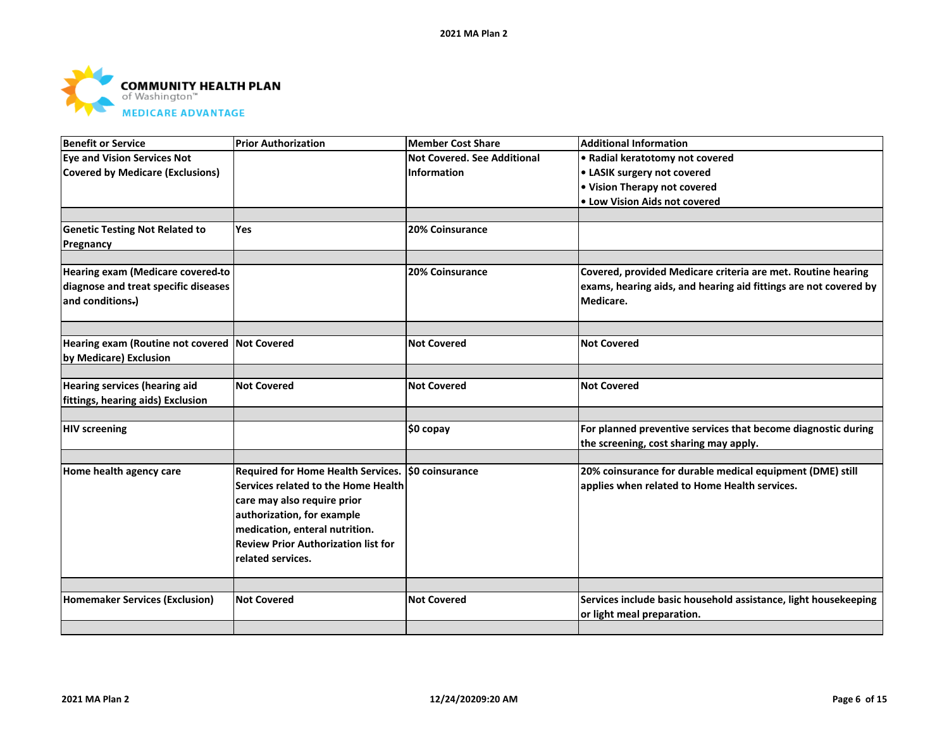

| <b>Benefit or Service</b>                     | <b>Prior Authorization</b>                         | <b>Member Cost Share</b>           | <b>Additional Information</b>                                    |
|-----------------------------------------------|----------------------------------------------------|------------------------------------|------------------------------------------------------------------|
| <b>Eye and Vision Services Not</b>            |                                                    | <b>Not Covered, See Additional</b> | • Radial keratotomy not covered                                  |
| <b>Covered by Medicare (Exclusions)</b>       |                                                    | Information                        | • LASIK surgery not covered                                      |
|                                               |                                                    |                                    | • Vision Therapy not covered                                     |
|                                               |                                                    |                                    | • Low Vision Aids not covered                                    |
|                                               |                                                    |                                    |                                                                  |
| <b>Genetic Testing Not Related to</b>         | <b>Yes</b>                                         | 20% Coinsurance                    |                                                                  |
| Pregnancy                                     |                                                    |                                    |                                                                  |
|                                               |                                                    |                                    |                                                                  |
| Hearing exam (Medicare covered-to             |                                                    | 20% Coinsurance                    | Covered, provided Medicare criteria are met. Routine hearing     |
| diagnose and treat specific diseases          |                                                    |                                    | exams, hearing aids, and hearing aid fittings are not covered by |
| and conditions.)                              |                                                    |                                    | Medicare.                                                        |
|                                               |                                                    |                                    |                                                                  |
|                                               |                                                    |                                    |                                                                  |
| Hearing exam (Routine not covered Not Covered |                                                    | <b>Not Covered</b>                 | <b>Not Covered</b>                                               |
| by Medicare) Exclusion                        |                                                    |                                    |                                                                  |
|                                               |                                                    |                                    |                                                                  |
| <b>Hearing services (hearing aid</b>          | <b>Not Covered</b>                                 | <b>Not Covered</b>                 | <b>Not Covered</b>                                               |
| fittings, hearing aids) Exclusion             |                                                    |                                    |                                                                  |
|                                               |                                                    |                                    |                                                                  |
| <b>HIV screening</b>                          |                                                    | \$0 copay                          | For planned preventive services that become diagnostic during    |
|                                               |                                                    |                                    | the screening, cost sharing may apply.                           |
|                                               |                                                    |                                    |                                                                  |
| Home health agency care                       | Required for Home Health Services. \$0 coinsurance |                                    | 20% coinsurance for durable medical equipment (DME) still        |
|                                               | Services related to the Home Health                |                                    | applies when related to Home Health services.                    |
|                                               | care may also require prior                        |                                    |                                                                  |
|                                               | authorization, for example                         |                                    |                                                                  |
|                                               | medication, enteral nutrition.                     |                                    |                                                                  |
|                                               | <b>Review Prior Authorization list for</b>         |                                    |                                                                  |
|                                               | related services.                                  |                                    |                                                                  |
|                                               |                                                    |                                    |                                                                  |
|                                               |                                                    |                                    |                                                                  |
| <b>Homemaker Services (Exclusion)</b>         | <b>Not Covered</b>                                 | <b>Not Covered</b>                 | Services include basic household assistance, light housekeeping  |
|                                               |                                                    |                                    | or light meal preparation.                                       |
|                                               |                                                    |                                    |                                                                  |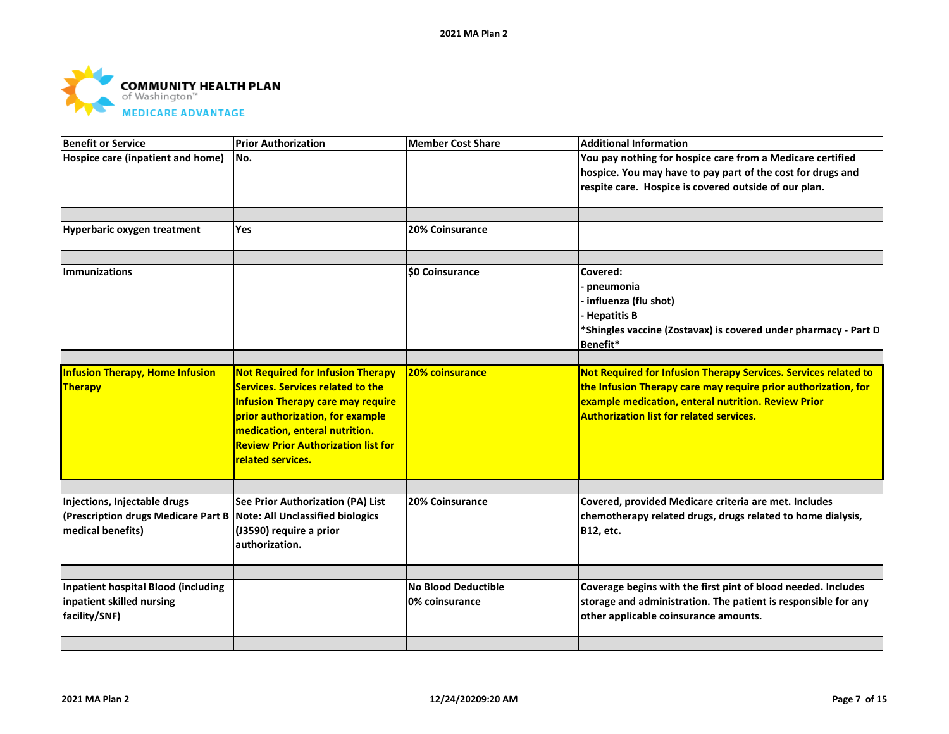

| <b>Benefit or Service</b>                                                                                                 | <b>Prior Authorization</b>                                                                                                                                                                                                                                                | <b>Member Cost Share</b>                     | <b>Additional Information</b>                                                                                                                                                                                                               |
|---------------------------------------------------------------------------------------------------------------------------|---------------------------------------------------------------------------------------------------------------------------------------------------------------------------------------------------------------------------------------------------------------------------|----------------------------------------------|---------------------------------------------------------------------------------------------------------------------------------------------------------------------------------------------------------------------------------------------|
| Hospice care (inpatient and home)                                                                                         | No.                                                                                                                                                                                                                                                                       |                                              | You pay nothing for hospice care from a Medicare certified<br>hospice. You may have to pay part of the cost for drugs and<br>respite care. Hospice is covered outside of our plan.                                                          |
| Hyperbaric oxygen treatment                                                                                               | Yes                                                                                                                                                                                                                                                                       | 20% Coinsurance                              |                                                                                                                                                                                                                                             |
| <b>Immunizations</b>                                                                                                      |                                                                                                                                                                                                                                                                           | <b>\$0 Coinsurance</b>                       | Covered:<br>pneumonia<br>· influenza (flu shot)<br><b>Hepatitis B</b><br>*Shingles vaccine (Zostavax) is covered under pharmacy - Part D<br>Benefit*                                                                                        |
| <b>Infusion Therapy, Home Infusion</b><br>Therapy                                                                         | <b>Not Required for Infusion Therapy</b><br><b>Services. Services related to the</b><br><b>Infusion Therapy care may require</b><br>prior authorization, for example<br>medication, enteral nutrition.<br><b>Review Prior Authorization list for</b><br>related services. | <b>20% coinsurance</b>                       | Not Required for Infusion Therapy Services. Services related to<br>the Infusion Therapy care may require prior authorization, for<br>example medication, enteral nutrition. Review Prior<br><b>Authorization list for related services.</b> |
| Injections, Injectable drugs<br>(Prescription drugs Medicare Part B Note: All Unclassified biologics<br>medical benefits) | See Prior Authorization (PA) List<br>(J3590) require a prior<br>authorization.                                                                                                                                                                                            | 20% Coinsurance                              | Covered, provided Medicare criteria are met. Includes<br>chemotherapy related drugs, drugs related to home dialysis,<br><b>B12, etc.</b>                                                                                                    |
| <b>Inpatient hospital Blood (including</b><br>inpatient skilled nursing<br>facility/SNF)                                  |                                                                                                                                                                                                                                                                           | <b>No Blood Deductible</b><br>0% coinsurance | Coverage begins with the first pint of blood needed. Includes<br>storage and administration. The patient is responsible for any<br>other applicable coinsurance amounts.                                                                    |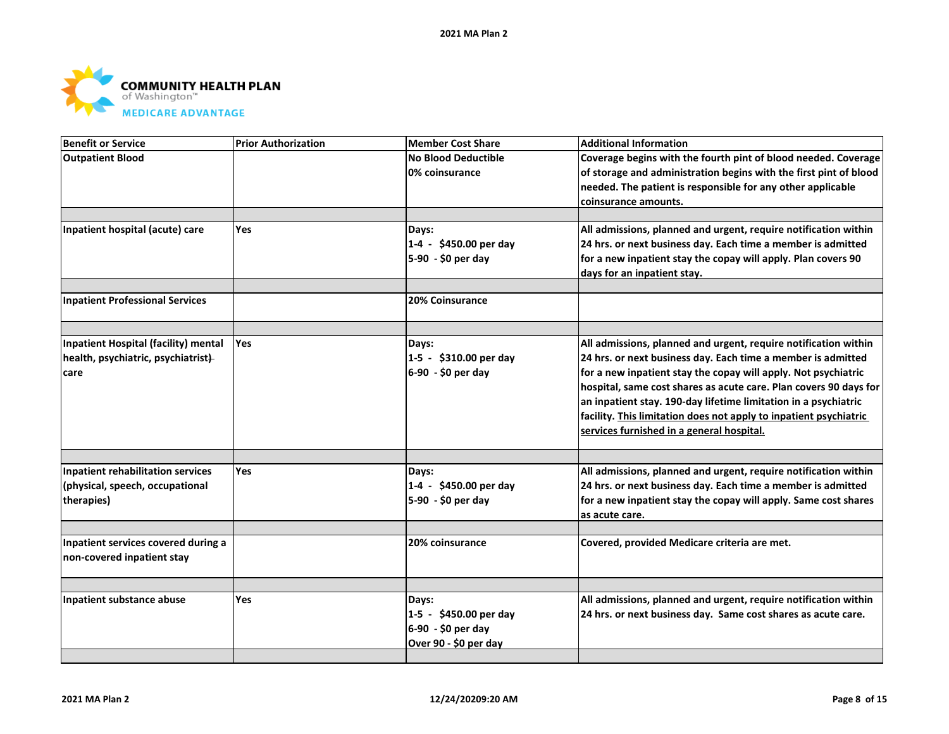

| <b>Benefit or Service</b>                | <b>Prior Authorization</b> | <b>Member Cost Share</b>   | <b>Additional Information</b>                                     |
|------------------------------------------|----------------------------|----------------------------|-------------------------------------------------------------------|
| <b>Outpatient Blood</b>                  |                            | <b>No Blood Deductible</b> | Coverage begins with the fourth pint of blood needed. Coverage    |
|                                          |                            | 0% coinsurance             | of storage and administration begins with the first pint of blood |
|                                          |                            |                            | needed. The patient is responsible for any other applicable       |
|                                          |                            |                            | coinsurance amounts.                                              |
|                                          |                            |                            |                                                                   |
| Inpatient hospital (acute) care          | Yes                        | Days:                      | All admissions, planned and urgent, require notification within   |
|                                          |                            | 1-4 - \$450.00 per day     | 24 hrs. or next business day. Each time a member is admitted      |
|                                          |                            | 5-90 - \$0 per day         | for a new inpatient stay the copay will apply. Plan covers 90     |
|                                          |                            |                            | days for an inpatient stay.                                       |
|                                          |                            |                            |                                                                   |
| <b>Inpatient Professional Services</b>   |                            | 20% Coinsurance            |                                                                   |
|                                          |                            |                            |                                                                   |
| Inpatient Hospital (facility) mental     | Yes                        | Days:                      | All admissions, planned and urgent, require notification within   |
| health, psychiatric, psychiatrist)       |                            | 1-5 - \$310.00 per day     | 24 hrs. or next business day. Each time a member is admitted      |
| care                                     |                            | 6-90 - \$0 per day         | for a new inpatient stay the copay will apply. Not psychiatric    |
|                                          |                            |                            | hospital, same cost shares as acute care. Plan covers 90 days for |
|                                          |                            |                            | an inpatient stay. 190-day lifetime limitation in a psychiatric   |
|                                          |                            |                            | facility. This limitation does not apply to inpatient psychiatric |
|                                          |                            |                            | services furnished in a general hospital.                         |
|                                          |                            |                            |                                                                   |
| <b>Inpatient rehabilitation services</b> | Yes                        | Days:                      | All admissions, planned and urgent, require notification within   |
| (physical, speech, occupational          |                            | 1-4 - \$450.00 per day     | 24 hrs. or next business day. Each time a member is admitted      |
| therapies)                               |                            | 5-90 - \$0 per day         | for a new inpatient stay the copay will apply. Same cost shares   |
|                                          |                            |                            | as acute care.                                                    |
| Inpatient services covered during a      |                            | 20% coinsurance            |                                                                   |
| non-covered inpatient stay               |                            |                            | Covered, provided Medicare criteria are met.                      |
|                                          |                            |                            |                                                                   |
|                                          |                            |                            |                                                                   |
| Inpatient substance abuse                | <b>Yes</b>                 | Days:                      | All admissions, planned and urgent, require notification within   |
|                                          |                            | 1-5 - \$450.00 per day     | 24 hrs. or next business day. Same cost shares as acute care.     |
|                                          |                            | 6-90 - \$0 per day         |                                                                   |
|                                          |                            | Over 90 - \$0 per day      |                                                                   |
|                                          |                            |                            |                                                                   |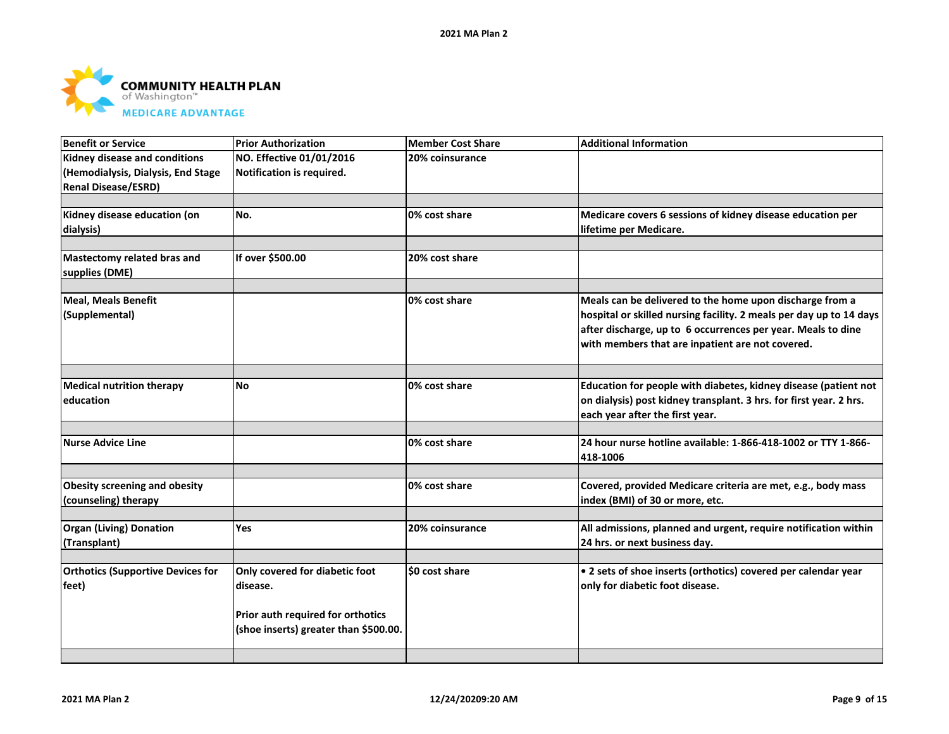

| <b>Benefit or Service</b>                | <b>Prior Authorization</b>            | <b>Member Cost Share</b> | <b>Additional Information</b>                                       |
|------------------------------------------|---------------------------------------|--------------------------|---------------------------------------------------------------------|
| Kidney disease and conditions            | NO. Effective 01/01/2016              | 20% coinsurance          |                                                                     |
| (Hemodialysis, Dialysis, End Stage       | Notification is required.             |                          |                                                                     |
| <b>Renal Disease/ESRD)</b>               |                                       |                          |                                                                     |
|                                          |                                       |                          |                                                                     |
| Kidney disease education (on             | No.                                   | 0% cost share            | Medicare covers 6 sessions of kidney disease education per          |
| dialysis)                                |                                       |                          | lifetime per Medicare.                                              |
|                                          |                                       |                          |                                                                     |
| Mastectomy related bras and              | If over \$500.00                      | 20% cost share           |                                                                     |
| supplies (DME)                           |                                       |                          |                                                                     |
|                                          |                                       |                          |                                                                     |
| <b>Meal, Meals Benefit</b>               |                                       | 0% cost share            | Meals can be delivered to the home upon discharge from a            |
| (Supplemental)                           |                                       |                          | hospital or skilled nursing facility. 2 meals per day up to 14 days |
|                                          |                                       |                          | after discharge, up to 6 occurrences per year. Meals to dine        |
|                                          |                                       |                          | with members that are inpatient are not covered.                    |
|                                          |                                       |                          |                                                                     |
| <b>Medical nutrition therapy</b>         | <b>No</b>                             | 0% cost share            | Education for people with diabetes, kidney disease (patient not     |
| education                                |                                       |                          | on dialysis) post kidney transplant. 3 hrs. for first year. 2 hrs.  |
|                                          |                                       |                          | each year after the first year.                                     |
|                                          |                                       |                          |                                                                     |
| <b>Nurse Advice Line</b>                 |                                       | 0% cost share            | 24 hour nurse hotline available: 1-866-418-1002 or TTY 1-866-       |
|                                          |                                       |                          | 418-1006                                                            |
|                                          |                                       |                          |                                                                     |
| <b>Obesity screening and obesity</b>     |                                       | 0% cost share            | Covered, provided Medicare criteria are met, e.g., body mass        |
| (counseling) therapy                     |                                       |                          | index (BMI) of 30 or more, etc.                                     |
|                                          |                                       |                          |                                                                     |
| <b>Organ (Living) Donation</b>           | <b>Yes</b>                            | 20% coinsurance          | All admissions, planned and urgent, require notification within     |
| (Transplant)                             |                                       |                          | 24 hrs. or next business day.                                       |
|                                          |                                       |                          |                                                                     |
| <b>Orthotics (Supportive Devices for</b> | Only covered for diabetic foot        | \$0 cost share           | • 2 sets of shoe inserts (orthotics) covered per calendar year      |
| feet)                                    | disease.                              |                          | only for diabetic foot disease.                                     |
|                                          |                                       |                          |                                                                     |
|                                          | Prior auth required for orthotics     |                          |                                                                     |
|                                          | (shoe inserts) greater than \$500.00. |                          |                                                                     |
|                                          |                                       |                          |                                                                     |
|                                          |                                       |                          |                                                                     |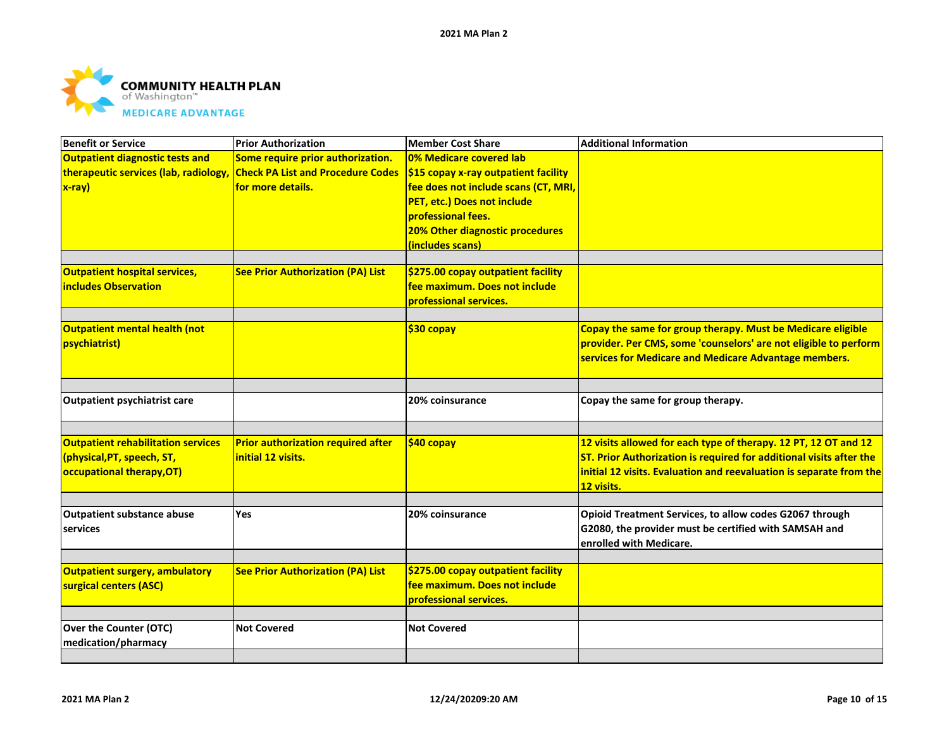

| <b>Benefit or Service</b>                 | <b>Prior Authorization</b>                | <b>Member Cost Share</b>                           | <b>Additional Information</b>                                       |
|-------------------------------------------|-------------------------------------------|----------------------------------------------------|---------------------------------------------------------------------|
| <b>Outpatient diagnostic tests and</b>    | Some require prior authorization.         | 0% Medicare covered lab                            |                                                                     |
| therapeutic services (lab, radiology,     | <b>Check PA List and Procedure Codes</b>  | $\frac{1}{2}$ \$15 copay x-ray outpatient facility |                                                                     |
| $x-ray)$                                  | for more details.                         | fee does not include scans (CT, MRI,               |                                                                     |
|                                           |                                           | PET, etc.) Does not include                        |                                                                     |
|                                           |                                           | professional fees.                                 |                                                                     |
|                                           |                                           | 20% Other diagnostic procedures                    |                                                                     |
|                                           |                                           | (includes scans)                                   |                                                                     |
|                                           |                                           |                                                    |                                                                     |
| <b>Outpatient hospital services,</b>      | <b>See Prior Authorization (PA) List</b>  | \$275.00 copay outpatient facility                 |                                                                     |
| <b>includes Observation</b>               |                                           | fee maximum. Does not include                      |                                                                     |
|                                           |                                           | professional services.                             |                                                                     |
| <b>Outpatient mental health (not</b>      |                                           | $$30$ copay                                        | Copay the same for group therapy. Must be Medicare eligible         |
| psychiatrist)                             |                                           |                                                    | provider. Per CMS, some 'counselors' are not eligible to perform    |
|                                           |                                           |                                                    | services for Medicare and Medicare Advantage members.               |
|                                           |                                           |                                                    |                                                                     |
|                                           |                                           |                                                    |                                                                     |
| <b>Outpatient psychiatrist care</b>       |                                           | 20% coinsurance                                    | Copay the same for group therapy.                                   |
|                                           |                                           |                                                    |                                                                     |
| <b>Outpatient rehabilitation services</b> | <b>Prior authorization required after</b> | \$40 copay                                         | 12 visits allowed for each type of therapy. 12 PT, 12 OT and 12     |
| (physical, PT, speech, ST,                | initial 12 visits.                        |                                                    | ST. Prior Authorization is required for additional visits after the |
| occupational therapy, OT)                 |                                           |                                                    | initial 12 visits. Evaluation and reevaluation is separate from the |
|                                           |                                           |                                                    | 12 visits.                                                          |
|                                           |                                           |                                                    |                                                                     |
| <b>Outpatient substance abuse</b>         | Yes                                       | 20% coinsurance                                    | Opioid Treatment Services, to allow codes G2067 through             |
| services                                  |                                           |                                                    | G2080, the provider must be certified with SAMSAH and               |
|                                           |                                           |                                                    | enrolled with Medicare.                                             |
|                                           |                                           | \$275.00 copay outpatient facility                 |                                                                     |
| <b>Outpatient surgery, ambulatory</b>     | <b>See Prior Authorization (PA) List</b>  | fee maximum. Does not include                      |                                                                     |
| surgical centers (ASC)                    |                                           |                                                    |                                                                     |
|                                           |                                           | professional services.                             |                                                                     |
| Over the Counter (OTC)                    | <b>Not Covered</b>                        | <b>Not Covered</b>                                 |                                                                     |
| medication/pharmacy                       |                                           |                                                    |                                                                     |
|                                           |                                           |                                                    |                                                                     |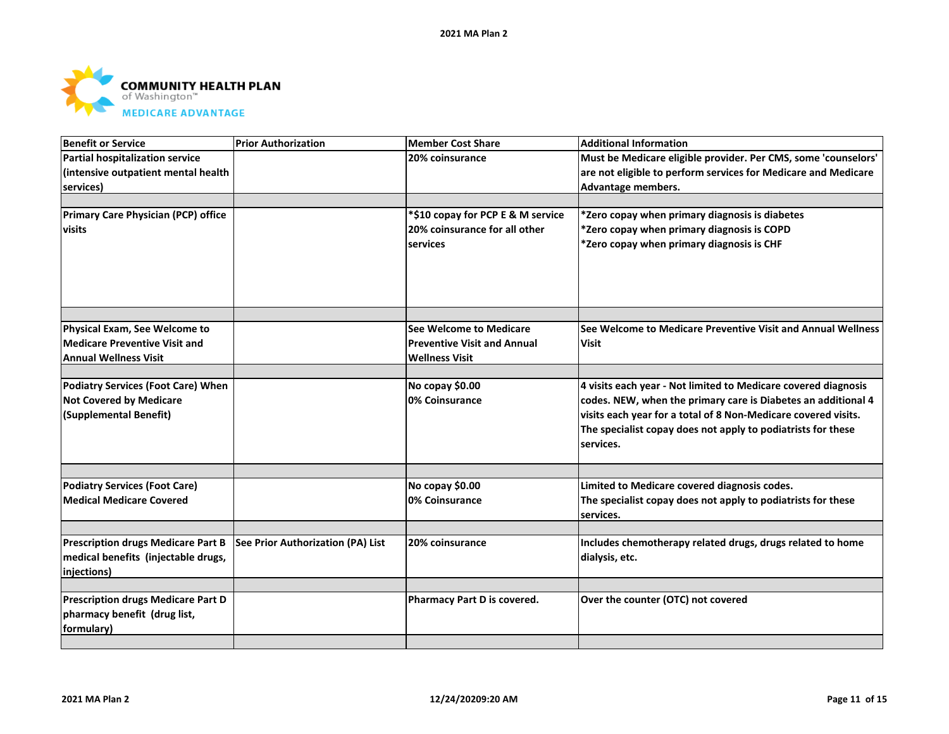

| <b>Benefit or Service</b>                  | <b>Prior Authorization</b>        | <b>Member Cost Share</b>           | <b>Additional Information</b>                                             |
|--------------------------------------------|-----------------------------------|------------------------------------|---------------------------------------------------------------------------|
| <b>Partial hospitalization service</b>     |                                   | 20% coinsurance                    | Must be Medicare eligible provider. Per CMS, some 'counselors'            |
| (intensive outpatient mental health        |                                   |                                    | are not eligible to perform services for Medicare and Medicare            |
| services)                                  |                                   |                                    | Advantage members.                                                        |
|                                            |                                   |                                    |                                                                           |
| <b>Primary Care Physician (PCP) office</b> |                                   | *\$10 copay for PCP E & M service  | *Zero copay when primary diagnosis is diabetes                            |
| visits                                     |                                   | 20% coinsurance for all other      | *Zero copay when primary diagnosis is COPD                                |
|                                            |                                   | services                           | $\ast$ Zero copay when primary diagnosis is CHF                           |
|                                            |                                   |                                    |                                                                           |
|                                            |                                   |                                    |                                                                           |
| Physical Exam, See Welcome to              |                                   | See Welcome to Medicare            | See Welcome to Medicare Preventive Visit and Annual Wellness              |
| <b>Medicare Preventive Visit and</b>       |                                   | <b>Preventive Visit and Annual</b> | <b>Visit</b>                                                              |
| <b>Annual Wellness Visit</b>               |                                   | <b>Wellness Visit</b>              |                                                                           |
|                                            |                                   |                                    |                                                                           |
| <b>Podiatry Services (Foot Care) When</b>  |                                   | No copay \$0.00                    | 4 visits each year - Not limited to Medicare covered diagnosis            |
| <b>Not Covered by Medicare</b>             |                                   | 0% Coinsurance                     | codes. NEW, when the primary care is Diabetes an additional 4             |
| (Supplemental Benefit)                     |                                   |                                    | visits each year for a total of 8 Non-Medicare covered visits.            |
|                                            |                                   |                                    | The specialist copay does not apply to podiatrists for these              |
|                                            |                                   |                                    | services.                                                                 |
|                                            |                                   |                                    |                                                                           |
| <b>Podiatry Services (Foot Care)</b>       |                                   | No copay \$0.00                    | Limited to Medicare covered diagnosis codes.                              |
| <b>Medical Medicare Covered</b>            |                                   | 0% Coinsurance                     | The specialist copay does not apply to podiatrists for these<br>services. |
|                                            |                                   |                                    |                                                                           |
| <b>Prescription drugs Medicare Part B</b>  | See Prior Authorization (PA) List | 20% coinsurance                    | Includes chemotherapy related drugs, drugs related to home                |
| medical benefits (injectable drugs,        |                                   |                                    | dialysis, etc.                                                            |
| injections)                                |                                   |                                    |                                                                           |
|                                            |                                   |                                    |                                                                           |
| <b>Prescription drugs Medicare Part D</b>  |                                   | Pharmacy Part D is covered.        | Over the counter (OTC) not covered                                        |
| pharmacy benefit (drug list,               |                                   |                                    |                                                                           |
| formulary)                                 |                                   |                                    |                                                                           |
|                                            |                                   |                                    |                                                                           |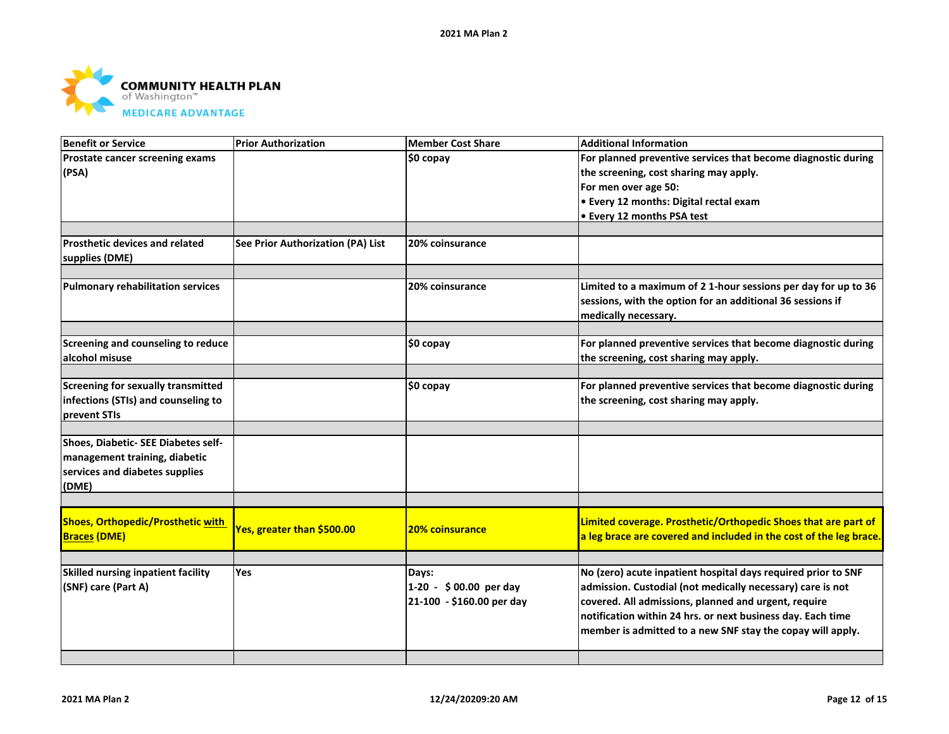

| <b>Benefit or Service</b>                            | <b>Prior Authorization</b>        | <b>Member Cost Share</b>  | <b>Additional Information</b>                                                                           |
|------------------------------------------------------|-----------------------------------|---------------------------|---------------------------------------------------------------------------------------------------------|
| Prostate cancer screening exams                      |                                   | \$0 copay                 | For planned preventive services that become diagnostic during                                           |
| (PSA)                                                |                                   |                           | the screening, cost sharing may apply.                                                                  |
|                                                      |                                   |                           | For men over age 50:                                                                                    |
|                                                      |                                   |                           | • Every 12 months: Digital rectal exam                                                                  |
|                                                      |                                   |                           | • Every 12 months PSA test                                                                              |
|                                                      |                                   |                           |                                                                                                         |
| <b>Prosthetic devices and related</b>                | See Prior Authorization (PA) List | 20% coinsurance           |                                                                                                         |
| supplies (DME)                                       |                                   |                           |                                                                                                         |
|                                                      |                                   |                           |                                                                                                         |
| <b>Pulmonary rehabilitation services</b>             |                                   | 20% coinsurance           | Limited to a maximum of 21-hour sessions per day for up to 36                                           |
|                                                      |                                   |                           | sessions, with the option for an additional 36 sessions if                                              |
|                                                      |                                   |                           | medically necessary.                                                                                    |
|                                                      |                                   |                           |                                                                                                         |
| Screening and counseling to reduce<br>alcohol misuse |                                   | \$0 copay                 | For planned preventive services that become diagnostic during<br>the screening, cost sharing may apply. |
|                                                      |                                   |                           |                                                                                                         |
| Screening for sexually transmitted                   |                                   | \$0 copay                 | For planned preventive services that become diagnostic during                                           |
| infections (STIs) and counseling to                  |                                   |                           | the screening, cost sharing may apply.                                                                  |
| prevent STIs                                         |                                   |                           |                                                                                                         |
|                                                      |                                   |                           |                                                                                                         |
| Shoes, Diabetic- SEE Diabetes self-                  |                                   |                           |                                                                                                         |
| management training, diabetic                        |                                   |                           |                                                                                                         |
| services and diabetes supplies                       |                                   |                           |                                                                                                         |
| (DME)                                                |                                   |                           |                                                                                                         |
|                                                      |                                   |                           |                                                                                                         |
| Shoes, Orthopedic/Prosthetic with                    |                                   |                           | Limited coverage. Prosthetic/Orthopedic Shoes that are part of                                          |
| <b>Braces (DME)</b>                                  | Yes, greater than \$500.00        | <b>20% coinsurance</b>    | a leg brace are covered and included in the cost of the leg brace.                                      |
|                                                      |                                   |                           |                                                                                                         |
|                                                      |                                   |                           |                                                                                                         |
| <b>Skilled nursing inpatient facility</b>            | <b>Yes</b>                        | Days:                     | No (zero) acute inpatient hospital days required prior to SNF                                           |
| (SNF) care (Part A)                                  |                                   | 1-20 - \$00.00 per day    | admission. Custodial (not medically necessary) care is not                                              |
|                                                      |                                   | 21-100 - \$160.00 per day | covered. All admissions, planned and urgent, require                                                    |
|                                                      |                                   |                           | notification within 24 hrs. or next business day. Each time                                             |
|                                                      |                                   |                           | member is admitted to a new SNF stay the copay will apply.                                              |
|                                                      |                                   |                           |                                                                                                         |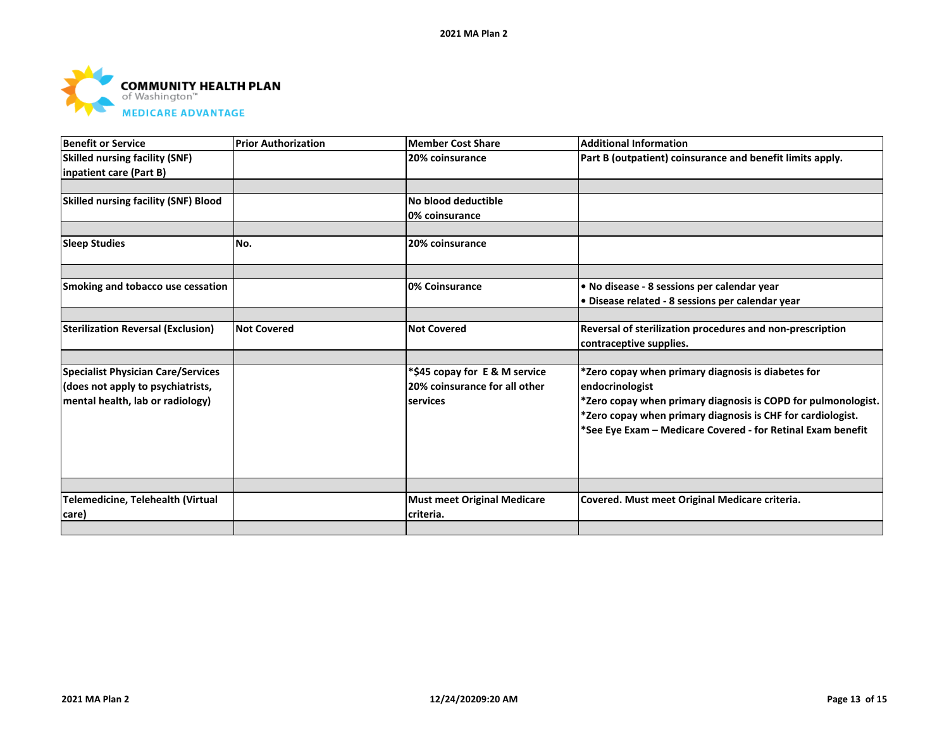

| <b>Benefit or Service</b>                   | <b>Prior Authorization</b> | <b>Member Cost Share</b>           | <b>Additional Information</b>                                 |
|---------------------------------------------|----------------------------|------------------------------------|---------------------------------------------------------------|
| <b>Skilled nursing facility (SNF)</b>       |                            | 20% coinsurance                    | Part B (outpatient) coinsurance and benefit limits apply.     |
| inpatient care (Part B)                     |                            |                                    |                                                               |
|                                             |                            |                                    |                                                               |
| <b>Skilled nursing facility (SNF) Blood</b> |                            | No blood deductible                |                                                               |
|                                             |                            | 0% coinsurance                     |                                                               |
|                                             |                            |                                    |                                                               |
| <b>Sleep Studies</b>                        | No.                        | 20% coinsurance                    |                                                               |
|                                             |                            |                                    |                                                               |
|                                             |                            |                                    |                                                               |
| Smoking and tobacco use cessation           |                            | 0% Coinsurance                     | . No disease - 8 sessions per calendar year                   |
|                                             |                            |                                    | · Disease related - 8 sessions per calendar year              |
|                                             |                            |                                    |                                                               |
| <b>Sterilization Reversal (Exclusion)</b>   | <b>Not Covered</b>         | <b>Not Covered</b>                 | Reversal of sterilization procedures and non-prescription     |
|                                             |                            |                                    | contraceptive supplies.                                       |
|                                             |                            |                                    |                                                               |
| <b>Specialist Physician Care/Services</b>   |                            | *\$45 copay for E & M service      | *Zero copay when primary diagnosis is diabetes for            |
| (does not apply to psychiatrists,           |                            | 20% coinsurance for all other      | endocrinologist                                               |
| mental health, lab or radiology)            |                            | services                           | *Zero copay when primary diagnosis is COPD for pulmonologist. |
|                                             |                            |                                    | *Zero copay when primary diagnosis is CHF for cardiologist.   |
|                                             |                            |                                    | *See Eye Exam - Medicare Covered - for Retinal Exam benefit   |
|                                             |                            |                                    |                                                               |
|                                             |                            |                                    |                                                               |
|                                             |                            |                                    |                                                               |
|                                             |                            |                                    |                                                               |
| Telemedicine, Telehealth (Virtual           |                            | <b>Must meet Original Medicare</b> | Covered. Must meet Original Medicare criteria.                |
| care)                                       |                            | criteria.                          |                                                               |
|                                             |                            |                                    |                                                               |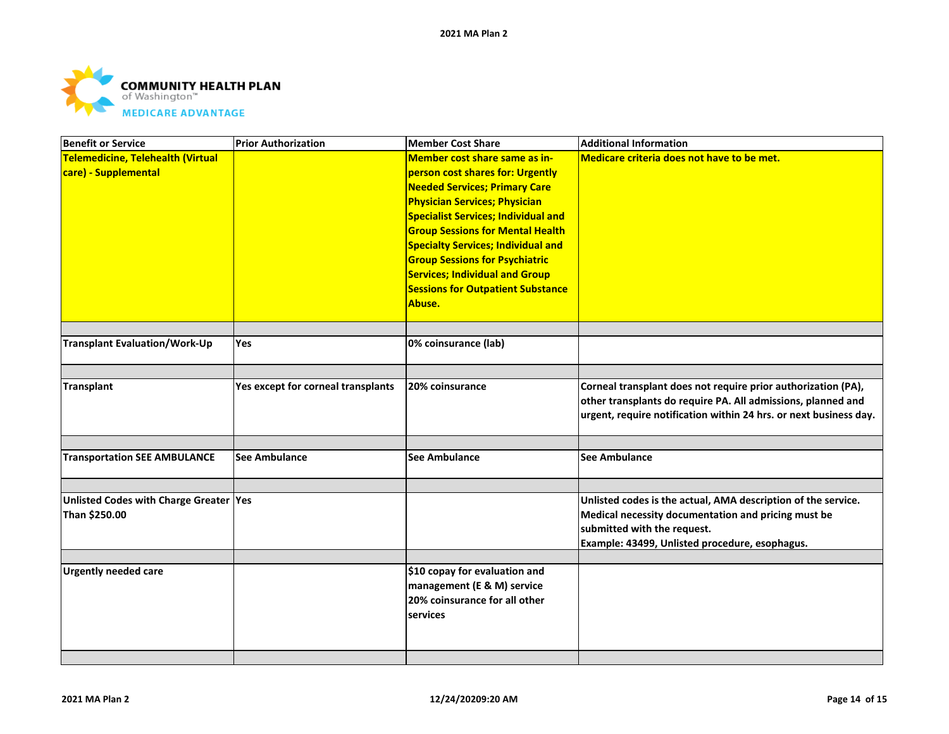

| <b>Benefit or Service</b>                                 | <b>Prior Authorization</b>         | <b>Member Cost Share</b>                                                                                                                                                                                                                                                                                                                                                                                                        | <b>Additional Information</b>                                                                                                                                                                         |
|-----------------------------------------------------------|------------------------------------|---------------------------------------------------------------------------------------------------------------------------------------------------------------------------------------------------------------------------------------------------------------------------------------------------------------------------------------------------------------------------------------------------------------------------------|-------------------------------------------------------------------------------------------------------------------------------------------------------------------------------------------------------|
| Telemedicine, Telehealth (Virtual<br>care) - Supplemental |                                    | Member cost share same as in-<br>person cost shares for: Urgently<br><b>Needed Services; Primary Care</b><br><b>Physician Services; Physician</b><br><b>Specialist Services; Individual and</b><br><b>Group Sessions for Mental Health</b><br><b>Specialty Services; Individual and</b><br><b>Group Sessions for Psychiatric</b><br><b>Services; Individual and Group</b><br><b>Sessions for Outpatient Substance</b><br>Abuse. | Medicare criteria does not have to be met.                                                                                                                                                            |
|                                                           |                                    |                                                                                                                                                                                                                                                                                                                                                                                                                                 |                                                                                                                                                                                                       |
| <b>Transplant Evaluation/Work-Up</b>                      | Yes                                | 0% coinsurance (lab)                                                                                                                                                                                                                                                                                                                                                                                                            |                                                                                                                                                                                                       |
|                                                           |                                    |                                                                                                                                                                                                                                                                                                                                                                                                                                 |                                                                                                                                                                                                       |
| <b>Transplant</b>                                         | Yes except for corneal transplants | 20% coinsurance                                                                                                                                                                                                                                                                                                                                                                                                                 | Corneal transplant does not require prior authorization (PA),<br>other transplants do require PA. All admissions, planned and<br>urgent, require notification within 24 hrs. or next business day.    |
|                                                           |                                    |                                                                                                                                                                                                                                                                                                                                                                                                                                 |                                                                                                                                                                                                       |
| <b>Transportation SEE AMBULANCE</b>                       | <b>See Ambulance</b>               | <b>See Ambulance</b>                                                                                                                                                                                                                                                                                                                                                                                                            | <b>See Ambulance</b>                                                                                                                                                                                  |
|                                                           |                                    |                                                                                                                                                                                                                                                                                                                                                                                                                                 |                                                                                                                                                                                                       |
| Unlisted Codes with Charge Greater Yes<br>Than \$250.00   |                                    |                                                                                                                                                                                                                                                                                                                                                                                                                                 | Unlisted codes is the actual, AMA description of the service.<br>Medical necessity documentation and pricing must be<br>submitted with the request.<br>Example: 43499, Unlisted procedure, esophagus. |
|                                                           |                                    |                                                                                                                                                                                                                                                                                                                                                                                                                                 |                                                                                                                                                                                                       |
| <b>Urgently needed care</b>                               |                                    | \$10 copay for evaluation and<br>management (E & M) service<br>20% coinsurance for all other<br>services                                                                                                                                                                                                                                                                                                                        |                                                                                                                                                                                                       |
|                                                           |                                    |                                                                                                                                                                                                                                                                                                                                                                                                                                 |                                                                                                                                                                                                       |